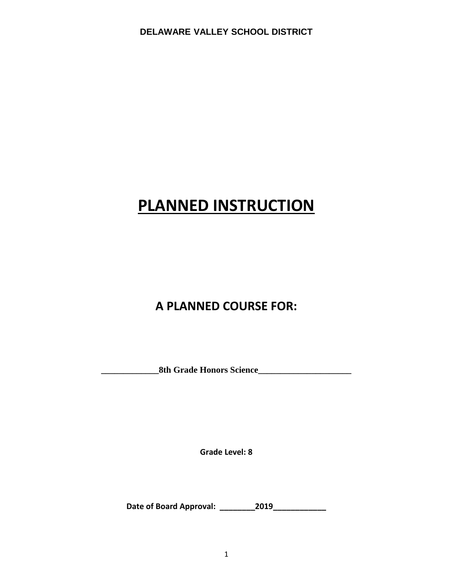# **PLANNED INSTRUCTION**

## **A PLANNED COURSE FOR:**

**\_\_\_\_\_\_\_\_\_\_\_\_\_8th Grade Honors Science\_\_\_\_\_\_\_\_\_\_\_\_\_\_\_\_\_\_\_\_\_**

**Grade Level: 8**

**Date of Board Approval: \_\_\_\_\_\_\_\_2019\_\_\_\_\_\_\_\_\_\_\_\_**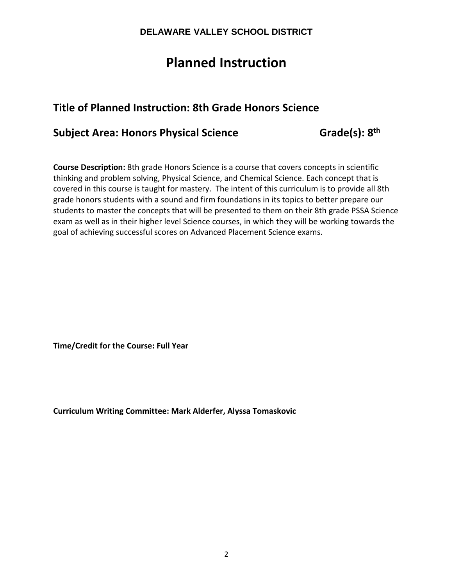## **Planned Instruction**

## **Title of Planned Instruction: 8th Grade Honors Science**

### **Subject Area: Honors Physical Science Grade(s): 8th**

**Course Description:** 8th grade Honors Science is a course that covers concepts in scientific thinking and problem solving, Physical Science, and Chemical Science. Each concept that is covered in this course is taught for mastery. The intent of this curriculum is to provide all 8th grade honors students with a sound and firm foundations in its topics to better prepare our students to master the concepts that will be presented to them on their 8th grade PSSA Science exam as well as in their higher level Science courses, in which they will be working towards the goal of achieving successful scores on Advanced Placement Science exams.

**Time/Credit for the Course: Full Year**

**Curriculum Writing Committee: Mark Alderfer, Alyssa Tomaskovic**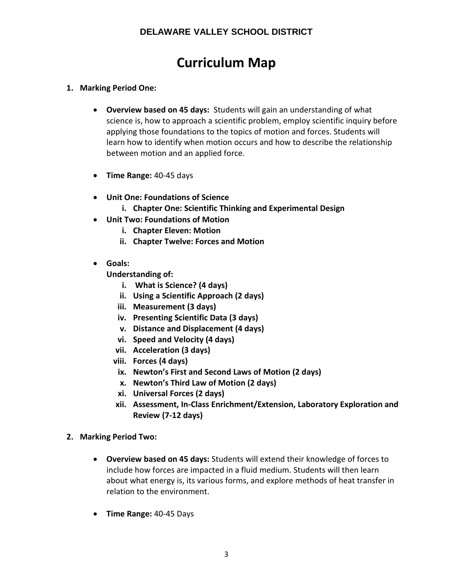## **Curriculum Map**

- **1. Marking Period One:**
	- **Overview based on 45 days:** Students will gain an understanding of what science is, how to approach a scientific problem, employ scientific inquiry before applying those foundations to the topics of motion and forces. Students will learn how to identify when motion occurs and how to describe the relationship between motion and an applied force.
	- **Time Range:** 40-45 days
	- **Unit One: Foundations of Science**
		- **i. Chapter One: Scientific Thinking and Experimental Design**
	- **Unit Two: Foundations of Motion**
		- **i. Chapter Eleven: Motion**
		- **ii. Chapter Twelve: Forces and Motion**
	- **Goals:**

**Understanding of:**

- **i. What is Science? (4 days)**
- **ii. Using a Scientific Approach (2 days)**
- **iii. Measurement (3 days)**
- **iv. Presenting Scientific Data (3 days)**
- **v. Distance and Displacement (4 days)**
- **vi. Speed and Velocity (4 days)**
- **vii. Acceleration (3 days)**
- **viii. Forces (4 days)**
- **ix. Newton's First and Second Laws of Motion (2 days)**
- **x. Newton's Third Law of Motion (2 days)**
- **xi. Universal Forces (2 days)**
- **xii. Assessment, In-Class Enrichment/Extension, Laboratory Exploration and Review (7-12 days)**
- **2. Marking Period Two:**
	- **Overview based on 45 days:** Students will extend their knowledge of forces to include how forces are impacted in a fluid medium. Students will then learn about what energy is, its various forms, and explore methods of heat transfer in relation to the environment.
	- **Time Range:** 40-45 Days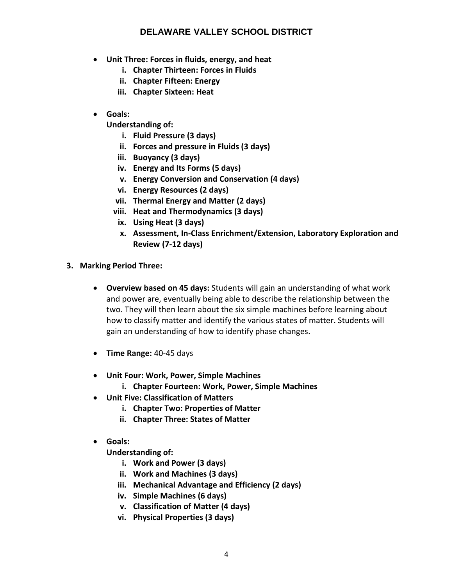- **Unit Three: Forces in fluids, energy, and heat**
	- **i. Chapter Thirteen: Forces in Fluids**
	- **ii. Chapter Fifteen: Energy**
	- **iii. Chapter Sixteen: Heat**
- **Goals:**
	- **Understanding of:**
		- **i. Fluid Pressure (3 days)**
		- **ii. Forces and pressure in Fluids (3 days)**
		- **iii. Buoyancy (3 days)**
		- **iv. Energy and Its Forms (5 days)**
		- **v. Energy Conversion and Conservation (4 days)**
		- **vi. Energy Resources (2 days)**
		- **vii. Thermal Energy and Matter (2 days)**
		- **viii. Heat and Thermodynamics (3 days)**
		- **ix. Using Heat (3 days)**
		- **x. Assessment, In-Class Enrichment/Extension, Laboratory Exploration and Review (7-12 days)**
- **3. Marking Period Three:**
	- **Overview based on 45 days:** Students will gain an understanding of what work and power are, eventually being able to describe the relationship between the two. They will then learn about the six simple machines before learning about how to classify matter and identify the various states of matter. Students will gain an understanding of how to identify phase changes.
	- **Time Range:** 40-45 days
	- **Unit Four: Work, Power, Simple Machines**
		- **i. Chapter Fourteen: Work, Power, Simple Machines**
	- **Unit Five: Classification of Matters**
		- **i. Chapter Two: Properties of Matter**
		- **ii. Chapter Three: States of Matter**
	- **Goals:**

**Understanding of:**

- **i. Work and Power (3 days)**
- **ii. Work and Machines (3 days)**
- **iii. Mechanical Advantage and Efficiency (2 days)**
- **iv. Simple Machines (6 days)**
- **v. Classification of Matter (4 days)**
- **vi. Physical Properties (3 days)**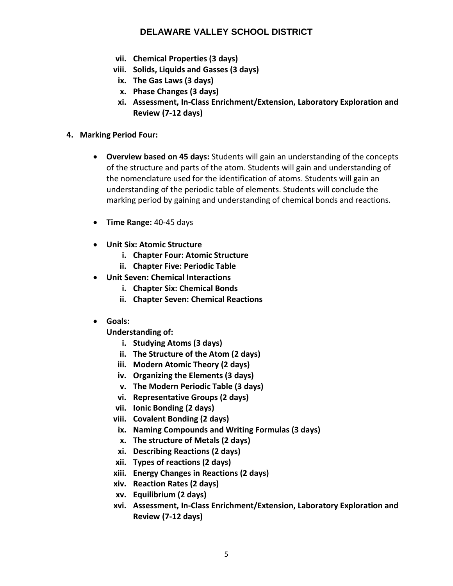- **vii. Chemical Properties (3 days)**
- **viii. Solids, Liquids and Gasses (3 days)**
- **ix. The Gas Laws (3 days)**
- **x. Phase Changes (3 days)**
- **xi. Assessment, In-Class Enrichment/Extension, Laboratory Exploration and Review (7-12 days)**
- **4. Marking Period Four:**
	- **Overview based on 45 days:** Students will gain an understanding of the concepts of the structure and parts of the atom. Students will gain and understanding of the nomenclature used for the identification of atoms. Students will gain an understanding of the periodic table of elements. Students will conclude the marking period by gaining and understanding of chemical bonds and reactions.
	- **Time Range:** 40-45 days
	- **Unit Six: Atomic Structure**
		- **i. Chapter Four: Atomic Structure**
		- **ii. Chapter Five: Periodic Table**
	- **Unit Seven: Chemical Interactions**
		- **i. Chapter Six: Chemical Bonds**
		- **ii. Chapter Seven: Chemical Reactions**
	- **Goals:**

**Understanding of:**

- **i. Studying Atoms (3 days)**
- **ii. The Structure of the Atom (2 days)**
- **iii. Modern Atomic Theory (2 days)**
- **iv. Organizing the Elements (3 days)**
- **v. The Modern Periodic Table (3 days)**
- **vi. Representative Groups (2 days)**
- **vii. Ionic Bonding (2 days)**
- **viii. Covalent Bonding (2 days)**
- **ix. Naming Compounds and Writing Formulas (3 days)**
- **x. The structure of Metals (2 days)**
- **xi. Describing Reactions (2 days)**
- **xii. Types of reactions (2 days)**
- **xiii. Energy Changes in Reactions (2 days)**
- **xiv. Reaction Rates (2 days)**
- **xv. Equilibrium (2 days)**
- **xvi. Assessment, In-Class Enrichment/Extension, Laboratory Exploration and Review (7-12 days)**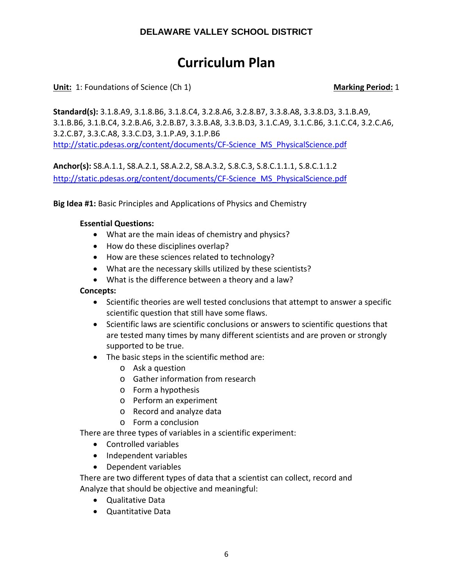## **Curriculum Plan**

**Unit:** 1: Foundations of Science (Ch 1) **Marking Period:** 1

**Standard(s):** 3.1.8.A9, 3.1.8.B6, 3.1.8.C4, 3.2.8.A6, 3.2.8.B7, 3.3.8.A8, 3.3.8.D3, 3.1.B.A9, 3.1.B.B6, 3.1.B.C4, 3.2.B.A6, 3.2.B.B7, 3.3.B.A8, 3.3.B.D3, 3.1.C.A9, 3.1.C.B6, 3.1.C.C4, 3.2.C.A6, 3.2.C.B7, 3.3.C.A8, 3.3.C.D3, 3.1.P.A9, 3.1.P.B6 [http://static.pdesas.org/content/documents/CF-Science\\_MS\\_PhysicalScience.pdf](http://static.pdesas.org/content/documents/CF-Science_MS_PhysicalScience.pdf)

**Anchor(s):** S8.A.1.1, S8.A.2.1, S8.A.2.2, S8.A.3.2, S.8.C.3, S.8.C.1.1.1, S.8.C.1.1.2 [http://static.pdesas.org/content/documents/CF-Science\\_MS\\_PhysicalScience.pdf](http://static.pdesas.org/content/documents/CF-Science_MS_PhysicalScience.pdf)

**Big Idea #1:** Basic Principles and Applications of Physics and Chemistry

#### **Essential Questions:**

- What are the main ideas of chemistry and physics?
- How do these disciplines overlap?
- How are these sciences related to technology?
- What are the necessary skills utilized by these scientists?
- What is the difference between a theory and a law?

#### **Concepts:**

- Scientific theories are well tested conclusions that attempt to answer a specific scientific question that still have some flaws.
- Scientific laws are scientific conclusions or answers to scientific questions that are tested many times by many different scientists and are proven or strongly supported to be true.
- The basic steps in the scientific method are:
	- o Ask a question
	- o Gather information from research
	- o Form a hypothesis
	- o Perform an experiment
	- o Record and analyze data
	- o Form a conclusion

There are three types of variables in a scientific experiment:

- Controlled variables
- Independent variables
- Dependent variables

There are two different types of data that a scientist can collect, record and Analyze that should be objective and meaningful:

- Qualitative Data
- Quantitative Data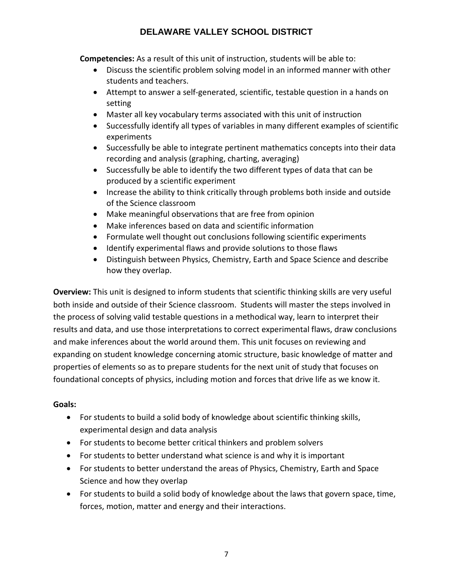**Competencies:** As a result of this unit of instruction, students will be able to:

- Discuss the scientific problem solving model in an informed manner with other students and teachers.
- Attempt to answer a self-generated, scientific, testable question in a hands on setting
- Master all key vocabulary terms associated with this unit of instruction
- Successfully identify all types of variables in many different examples of scientific experiments
- Successfully be able to integrate pertinent mathematics concepts into their data recording and analysis (graphing, charting, averaging)
- Successfully be able to identify the two different types of data that can be produced by a scientific experiment
- Increase the ability to think critically through problems both inside and outside of the Science classroom
- Make meaningful observations that are free from opinion
- Make inferences based on data and scientific information
- Formulate well thought out conclusions following scientific experiments
- Identify experimental flaws and provide solutions to those flaws
- Distinguish between Physics, Chemistry, Earth and Space Science and describe how they overlap.

**Overview:** This unit is designed to inform students that scientific thinking skills are very useful both inside and outside of their Science classroom. Students will master the steps involved in the process of solving valid testable questions in a methodical way, learn to interpret their results and data, and use those interpretations to correct experimental flaws, draw conclusions and make inferences about the world around them. This unit focuses on reviewing and expanding on student knowledge concerning atomic structure, basic knowledge of matter and properties of elements so as to prepare students for the next unit of study that focuses on foundational concepts of physics, including motion and forces that drive life as we know it.

### **Goals:**

- For students to build a solid body of knowledge about scientific thinking skills, experimental design and data analysis
- For students to become better critical thinkers and problem solvers
- For students to better understand what science is and why it is important
- For students to better understand the areas of Physics, Chemistry, Earth and Space Science and how they overlap
- For students to build a solid body of knowledge about the laws that govern space, time, forces, motion, matter and energy and their interactions.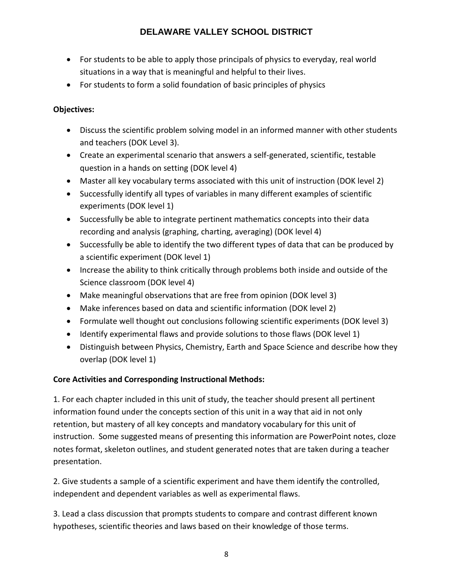- For students to be able to apply those principals of physics to everyday, real world situations in a way that is meaningful and helpful to their lives.
- For students to form a solid foundation of basic principles of physics

### **Objectives:**

- Discuss the scientific problem solving model in an informed manner with other students and teachers (DOK Level 3).
- Create an experimental scenario that answers a self-generated, scientific, testable question in a hands on setting (DOK level 4)
- Master all key vocabulary terms associated with this unit of instruction (DOK level 2)
- Successfully identify all types of variables in many different examples of scientific experiments (DOK level 1)
- Successfully be able to integrate pertinent mathematics concepts into their data recording and analysis (graphing, charting, averaging) (DOK level 4)
- Successfully be able to identify the two different types of data that can be produced by a scientific experiment (DOK level 1)
- Increase the ability to think critically through problems both inside and outside of the Science classroom (DOK level 4)
- Make meaningful observations that are free from opinion (DOK level 3)
- Make inferences based on data and scientific information (DOK level 2)
- Formulate well thought out conclusions following scientific experiments (DOK level 3)
- Identify experimental flaws and provide solutions to those flaws (DOK level 1)
- Distinguish between Physics, Chemistry, Earth and Space Science and describe how they overlap (DOK level 1)

### **Core Activities and Corresponding Instructional Methods:**

1. For each chapter included in this unit of study, the teacher should present all pertinent information found under the concepts section of this unit in a way that aid in not only retention, but mastery of all key concepts and mandatory vocabulary for this unit of instruction. Some suggested means of presenting this information are PowerPoint notes, cloze notes format, skeleton outlines, and student generated notes that are taken during a teacher presentation.

2. Give students a sample of a scientific experiment and have them identify the controlled, independent and dependent variables as well as experimental flaws.

3. Lead a class discussion that prompts students to compare and contrast different known hypotheses, scientific theories and laws based on their knowledge of those terms.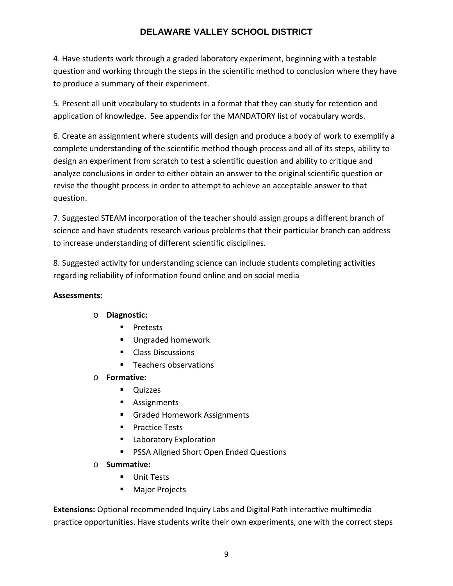4. Have students work through a graded laboratory experiment, beginning with a testable question and working through the steps in the scientific method to conclusion where they have to produce a summary of their experiment.

5. Present all unit vocabulary to students in a format that they can study for retention and application of knowledge. See appendix for the MANDATORY list of vocabulary words.

6. Create an assignment where students will design and produce a body of work to exemplify a complete understanding of the scientific method though process and all of its steps, ability to design an experiment from scratch to test a scientific question and ability to critique and analyze conclusions in order to either obtain an answer to the original scientific question or revise the thought process in order to attempt to achieve an acceptable answer to that question.

7. Suggested STEAM incorporation of the teacher should assign groups a different branch of science and have students research various problems that their particular branch can address to increase understanding of different scientific disciplines.

8. Suggested activity for understanding science can include students completing activities regarding reliability of information found online and on social media

### **Assessments:**

- o **Diagnostic:** 
	- **Pretests**
	- Ungraded homework
	- Class Discussions
	- **Teachers observations**
- o **Formative:** 
	- **Quizzes**
	- **Assignments**
	- **Graded Homework Assignments**
	- **Practice Tests**
	- **Laboratory Exploration**
	- PSSA Aligned Short Open Ended Questions
- o **Summative:**
	- **Unit Tests**
	- **Major Projects**

**Extensions:** Optional recommended Inquiry Labs and Digital Path interactive multimedia practice opportunities. Have students write their own experiments, one with the correct steps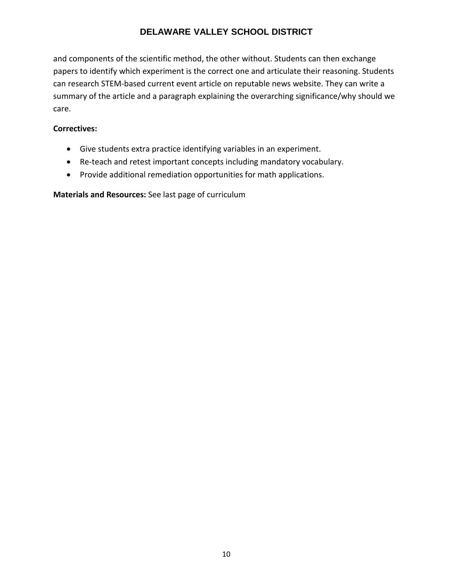and components of the scientific method, the other without. Students can then exchange papers to identify which experiment is the correct one and articulate their reasoning. Students can research STEM-based current event article on reputable news website. They can write a summary of the article and a paragraph explaining the overarching significance/why should we care.

#### **Correctives:**

- Give students extra practice identifying variables in an experiment.
- Re-teach and retest important concepts including mandatory vocabulary.
- Provide additional remediation opportunities for math applications.

**Materials and Resources:** See last page of curriculum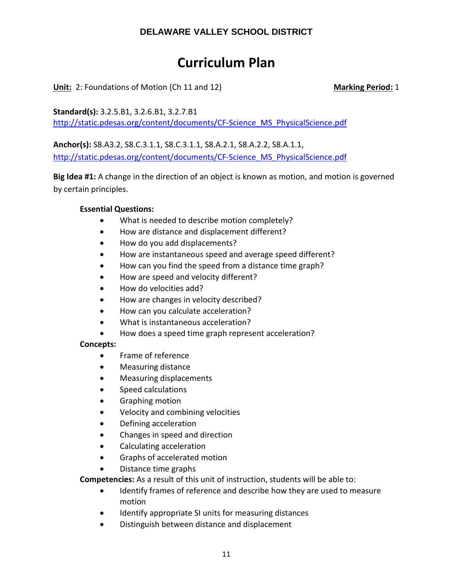## **Curriculum Plan**

**Unit:** 2: Foundations of Motion (Ch 11 and 12) **Marking Period:** 1

**Standard(s):** 3.2.5.B1, 3.2.6.B1, 3.2.7.B1 [http://static.pdesas.org/content/documents/CF-Science\\_MS\\_PhysicalScience.pdf](http://static.pdesas.org/content/documents/CF-Science_MS_PhysicalScience.pdf)

**Anchor(s):** S8.A3.2, S8.C.3.1.1, S8.C.3.1.1, S8.A.2.1, S8.A.2.2, S8.A.1.1, [http://static.pdesas.org/content/documents/CF-Science\\_MS\\_PhysicalScience.pdf](http://static.pdesas.org/content/documents/CF-Science_MS_PhysicalScience.pdf)

**Big Idea #1:** A change in the direction of an object is known as motion, and motion is governed by certain principles.

#### **Essential Questions:**

- What is needed to describe motion completely?
- How are distance and displacement different?
- How do you add displacements?
- How are instantaneous speed and average speed different?
- How can you find the speed from a distance time graph?
- How are speed and velocity different?
- How do velocities add?
- How are changes in velocity described?
- How can you calculate acceleration?
- What is instantaneous acceleration?
- How does a speed time graph represent acceleration?

#### **Concepts:**

- Frame of reference
- Measuring distance
- Measuring displacements
- Speed calculations
- Graphing motion
- Velocity and combining velocities
- Defining acceleration
- Changes in speed and direction
- Calculating acceleration
- Graphs of accelerated motion
- Distance time graphs

**Competencies:** As a result of this unit of instruction, students will be able to:

- Identify frames of reference and describe how they are used to measure motion
- Identify appropriate SI units for measuring distances
- Distinguish between distance and displacement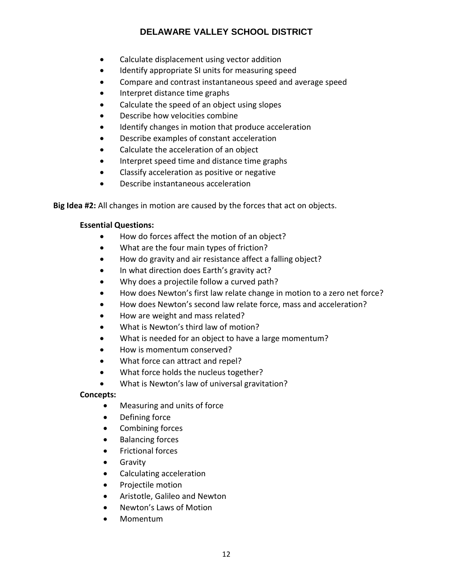- Calculate displacement using vector addition
- Identify appropriate SI units for measuring speed
- Compare and contrast instantaneous speed and average speed
- Interpret distance time graphs
- Calculate the speed of an object using slopes
- Describe how velocities combine
- Identify changes in motion that produce acceleration
- Describe examples of constant acceleration
- Calculate the acceleration of an object
- Interpret speed time and distance time graphs
- Classify acceleration as positive or negative
- Describe instantaneous acceleration

**Big Idea #2:** All changes in motion are caused by the forces that act on objects.

### **Essential Questions:**

- How do forces affect the motion of an object?
- What are the four main types of friction?
- How do gravity and air resistance affect a falling object?
- In what direction does Earth's gravity act?
- Why does a projectile follow a curved path?
- How does Newton's first law relate change in motion to a zero net force?
- How does Newton's second law relate force, mass and acceleration?
- How are weight and mass related?
- What is Newton's third law of motion?
- What is needed for an object to have a large momentum?
- How is momentum conserved?
- What force can attract and repel?
- What force holds the nucleus together?
- What is Newton's law of universal gravitation?

### **Concepts:**

- Measuring and units of force
- Defining force
- Combining forces
- Balancing forces
- Frictional forces
- Gravity
- Calculating acceleration
- Projectile motion
- Aristotle, Galileo and Newton
- Newton's Laws of Motion
- Momentum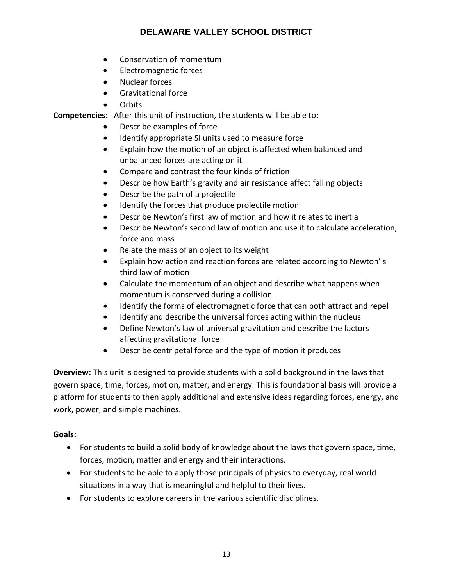- Conservation of momentum
- Electromagnetic forces
- Nuclear forces
- Gravitational force
- Orbits

**Competencies**: After this unit of instruction, the students will be able to:

- Describe examples of force
- Identify appropriate SI units used to measure force
- Explain how the motion of an object is affected when balanced and unbalanced forces are acting on it
- Compare and contrast the four kinds of friction
- Describe how Earth's gravity and air resistance affect falling objects
- Describe the path of a projectile
- Identify the forces that produce projectile motion
- Describe Newton's first law of motion and how it relates to inertia
- Describe Newton's second law of motion and use it to calculate acceleration, force and mass
- Relate the mass of an object to its weight
- Explain how action and reaction forces are related according to Newton' s third law of motion
- Calculate the momentum of an object and describe what happens when momentum is conserved during a collision
- Identify the forms of electromagnetic force that can both attract and repel
- Identify and describe the universal forces acting within the nucleus
- Define Newton's law of universal gravitation and describe the factors affecting gravitational force
- Describe centripetal force and the type of motion it produces

**Overview:** This unit is designed to provide students with a solid background in the laws that govern space, time, forces, motion, matter, and energy. This is foundational basis will provide a platform for students to then apply additional and extensive ideas regarding forces, energy, and work, power, and simple machines.

### **Goals:**

- For students to build a solid body of knowledge about the laws that govern space, time, forces, motion, matter and energy and their interactions.
- For students to be able to apply those principals of physics to everyday, real world situations in a way that is meaningful and helpful to their lives.
- For students to explore careers in the various scientific disciplines.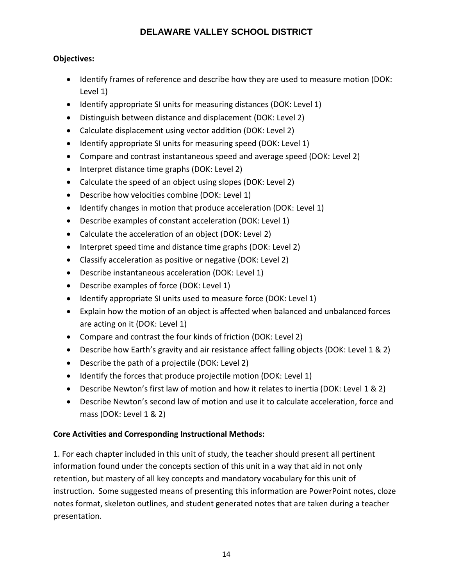### **Objectives:**

- Identify frames of reference and describe how they are used to measure motion (DOK: Level 1)
- Identify appropriate SI units for measuring distances (DOK: Level 1)
- Distinguish between distance and displacement (DOK: Level 2)
- Calculate displacement using vector addition (DOK: Level 2)
- Identify appropriate SI units for measuring speed (DOK: Level 1)
- Compare and contrast instantaneous speed and average speed (DOK: Level 2)
- Interpret distance time graphs (DOK: Level 2)
- Calculate the speed of an object using slopes (DOK: Level 2)
- Describe how velocities combine (DOK: Level 1)
- Identify changes in motion that produce acceleration (DOK: Level 1)
- Describe examples of constant acceleration (DOK: Level 1)
- Calculate the acceleration of an object (DOK: Level 2)
- Interpret speed time and distance time graphs (DOK: Level 2)
- Classify acceleration as positive or negative (DOK: Level 2)
- Describe instantaneous acceleration (DOK: Level 1)
- Describe examples of force (DOK: Level 1)
- Identify appropriate SI units used to measure force (DOK: Level 1)
- Explain how the motion of an object is affected when balanced and unbalanced forces are acting on it (DOK: Level 1)
- Compare and contrast the four kinds of friction (DOK: Level 2)
- Describe how Earth's gravity and air resistance affect falling objects (DOK: Level 1 & 2)
- Describe the path of a projectile (DOK: Level 2)
- Identify the forces that produce projectile motion (DOK: Level 1)
- Describe Newton's first law of motion and how it relates to inertia (DOK: Level 1 & 2)
- Describe Newton's second law of motion and use it to calculate acceleration, force and mass (DOK: Level 1 & 2)

### **Core Activities and Corresponding Instructional Methods:**

1. For each chapter included in this unit of study, the teacher should present all pertinent information found under the concepts section of this unit in a way that aid in not only retention, but mastery of all key concepts and mandatory vocabulary for this unit of instruction. Some suggested means of presenting this information are PowerPoint notes, cloze notes format, skeleton outlines, and student generated notes that are taken during a teacher presentation.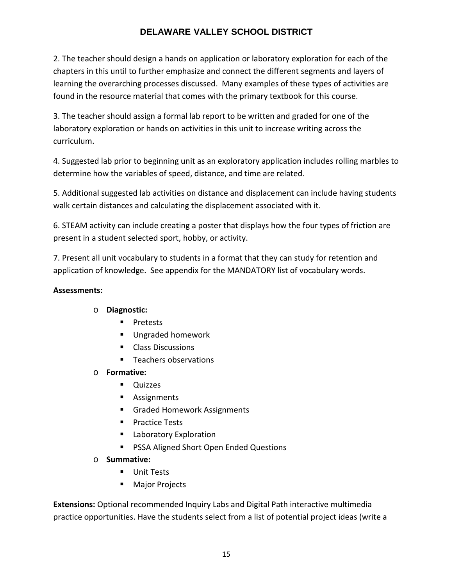2. The teacher should design a hands on application or laboratory exploration for each of the chapters in this until to further emphasize and connect the different segments and layers of learning the overarching processes discussed. Many examples of these types of activities are found in the resource material that comes with the primary textbook for this course.

3. The teacher should assign a formal lab report to be written and graded for one of the laboratory exploration or hands on activities in this unit to increase writing across the curriculum.

4. Suggested lab prior to beginning unit as an exploratory application includes rolling marbles to determine how the variables of speed, distance, and time are related.

5. Additional suggested lab activities on distance and displacement can include having students walk certain distances and calculating the displacement associated with it.

6. STEAM activity can include creating a poster that displays how the four types of friction are present in a student selected sport, hobby, or activity.

7. Present all unit vocabulary to students in a format that they can study for retention and application of knowledge. See appendix for the MANDATORY list of vocabulary words.

### **Assessments:**

### o **Diagnostic:**

- **Pretests**
- **Ungraded homework**
- **Class Discussions**
- **Teachers observations**
- o **Formative:** 
	- **Duizzes**
	- **Assignments**
	- Graded Homework Assignments
	- **Practice Tests**
	- **Laboratory Exploration**
	- **PSSA Aligned Short Open Ended Questions**
- o **Summative:**
	- **Unit Tests**
	- **Major Projects**

**Extensions:** Optional recommended Inquiry Labs and Digital Path interactive multimedia practice opportunities. Have the students select from a list of potential project ideas (write a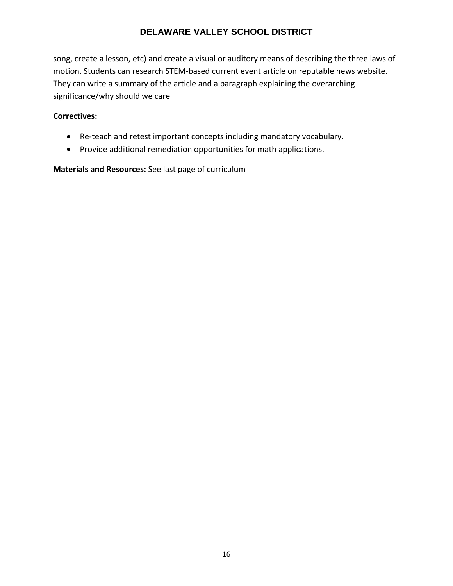song, create a lesson, etc) and create a visual or auditory means of describing the three laws of motion. Students can research STEM-based current event article on reputable news website. They can write a summary of the article and a paragraph explaining the overarching significance/why should we care

#### **Correctives:**

- Re-teach and retest important concepts including mandatory vocabulary.
- Provide additional remediation opportunities for math applications.

**Materials and Resources:** See last page of curriculum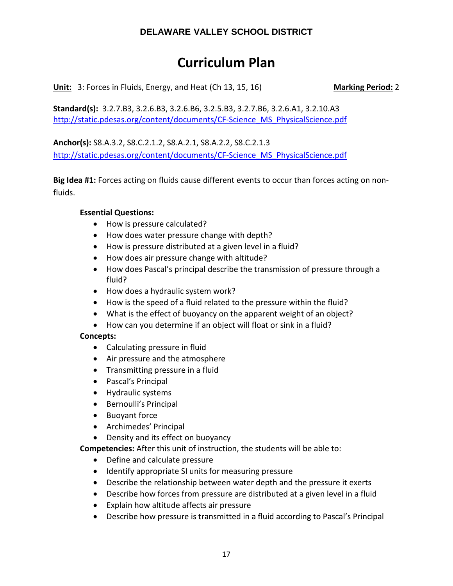## **Curriculum Plan**

**Unit:** 3: Forces in Fluids, Energy, and Heat (Ch 13, 15, 16) Marking Period: 2

**Standard(s):** 3.2.7.B3, 3.2.6.B3, 3.2.6.B6, 3.2.5.B3, 3.2.7.B6, 3.2.6.A1, 3.2.10.A3 [http://static.pdesas.org/content/documents/CF-Science\\_MS\\_PhysicalScience.pdf](http://static.pdesas.org/content/documents/CF-Science_MS_PhysicalScience.pdf)

**Anchor(s):** S8.A.3.2, S8.C.2.1.2, S8.A.2.1, S8.A.2.2, S8.C.2.1.3 [http://static.pdesas.org/content/documents/CF-Science\\_MS\\_PhysicalScience.pdf](http://static.pdesas.org/content/documents/CF-Science_MS_PhysicalScience.pdf)

**Big Idea #1:** Forces acting on fluids cause different events to occur than forces acting on nonfluids.

#### **Essential Questions:**

- How is pressure calculated?
- How does water pressure change with depth?
- How is pressure distributed at a given level in a fluid?
- How does air pressure change with altitude?
- How does Pascal's principal describe the transmission of pressure through a fluid?
- How does a hydraulic system work?
- How is the speed of a fluid related to the pressure within the fluid?
- What is the effect of buoyancy on the apparent weight of an object?
- How can you determine if an object will float or sink in a fluid?

### **Concepts:**

- Calculating pressure in fluid
- Air pressure and the atmosphere
- Transmitting pressure in a fluid
- Pascal's Principal
- Hydraulic systems
- Bernoulli's Principal
- Buoyant force
- Archimedes' Principal
- Density and its effect on buoyancy

**Competencies:** After this unit of instruction, the students will be able to:

- Define and calculate pressure
- Identify appropriate SI units for measuring pressure
- Describe the relationship between water depth and the pressure it exerts
- Describe how forces from pressure are distributed at a given level in a fluid
- Explain how altitude affects air pressure
- Describe how pressure is transmitted in a fluid according to Pascal's Principal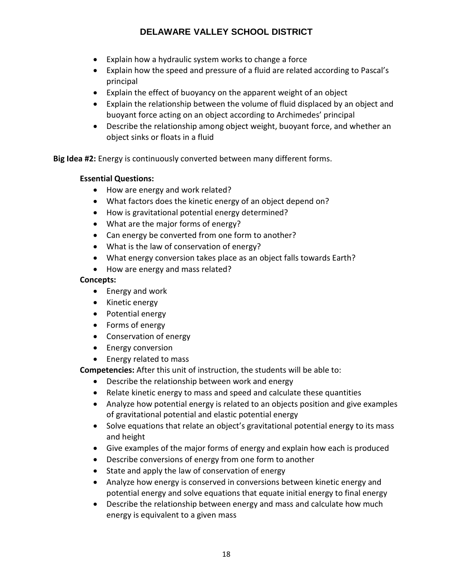- Explain how a hydraulic system works to change a force
- Explain how the speed and pressure of a fluid are related according to Pascal's principal
- Explain the effect of buoyancy on the apparent weight of an object
- Explain the relationship between the volume of fluid displaced by an object and buoyant force acting on an object according to Archimedes' principal
- Describe the relationship among object weight, buoyant force, and whether an object sinks or floats in a fluid

**Big Idea #2:** Energy is continuously converted between many different forms.

### **Essential Questions:**

- How are energy and work related?
- What factors does the kinetic energy of an object depend on?
- How is gravitational potential energy determined?
- What are the major forms of energy?
- Can energy be converted from one form to another?
- What is the law of conservation of energy?
- What energy conversion takes place as an object falls towards Earth?
- How are energy and mass related?

#### **Concepts:**

- Energy and work
- Kinetic energy
- Potential energy
- Forms of energy
- Conservation of energy
- Energy conversion
- Energy related to mass

**Competencies:** After this unit of instruction, the students will be able to:

- Describe the relationship between work and energy
- Relate kinetic energy to mass and speed and calculate these quantities
- Analyze how potential energy is related to an objects position and give examples of gravitational potential and elastic potential energy
- Solve equations that relate an object's gravitational potential energy to its mass and height
- Give examples of the major forms of energy and explain how each is produced
- Describe conversions of energy from one form to another
- State and apply the law of conservation of energy
- Analyze how energy is conserved in conversions between kinetic energy and potential energy and solve equations that equate initial energy to final energy
- Describe the relationship between energy and mass and calculate how much energy is equivalent to a given mass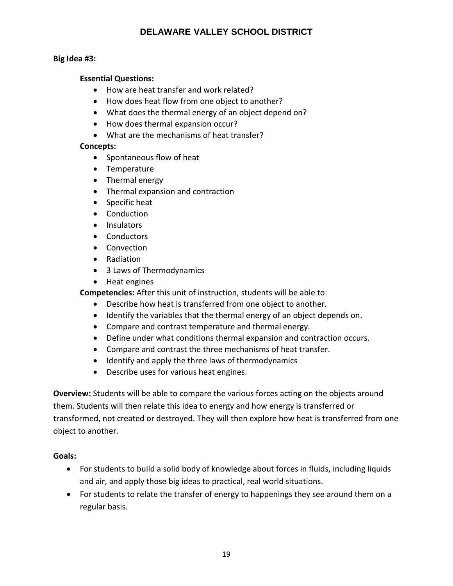#### **Big Idea #3:**

#### **Essential Questions:**

- How are heat transfer and work related?
- How does heat flow from one object to another?
- What does the thermal energy of an object depend on?
- How does thermal expansion occur?
- What are the mechanisms of heat transfer?

#### **Concepts:**

- Spontaneous flow of heat
- Temperature
- Thermal energy
- Thermal expansion and contraction
- Specific heat
- Conduction
- Insulators
- Conductors
- Convection
- Radiation
- 3 Laws of Thermodynamics
- Heat engines

**Competencies:** After this unit of instruction, students will be able to:

- Describe how heat is transferred from one object to another.
- Identify the variables that the thermal energy of an object depends on.
- Compare and contrast temperature and thermal energy.
- Define under what conditions thermal expansion and contraction occurs.
- Compare and contrast the three mechanisms of heat transfer.
- Identify and apply the three laws of thermodynamics
- Describe uses for various heat engines.

**Overview:** Students will be able to compare the various forces acting on the objects around them. Students will then relate this idea to energy and how energy is transferred or transformed, not created or destroyed. They will then explore how heat is transferred from one object to another.

#### **Goals:**

- For students to build a solid body of knowledge about forces in fluids, including liquids and air, and apply those big ideas to practical, real world situations.
- For students to relate the transfer of energy to happenings they see around them on a regular basis.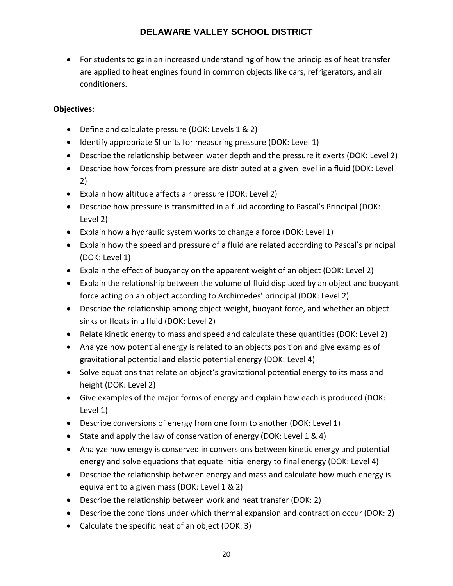• For students to gain an increased understanding of how the principles of heat transfer are applied to heat engines found in common objects like cars, refrigerators, and air conditioners.

### **Objectives:**

- Define and calculate pressure (DOK: Levels 1 & 2)
- Identify appropriate SI units for measuring pressure (DOK: Level 1)
- Describe the relationship between water depth and the pressure it exerts (DOK: Level 2)
- Describe how forces from pressure are distributed at a given level in a fluid (DOK: Level 2)
- Explain how altitude affects air pressure (DOK: Level 2)
- Describe how pressure is transmitted in a fluid according to Pascal's Principal (DOK: Level 2)
- Explain how a hydraulic system works to change a force (DOK: Level 1)
- Explain how the speed and pressure of a fluid are related according to Pascal's principal (DOK: Level 1)
- Explain the effect of buoyancy on the apparent weight of an object (DOK: Level 2)
- Explain the relationship between the volume of fluid displaced by an object and buoyant force acting on an object according to Archimedes' principal (DOK: Level 2)
- Describe the relationship among object weight, buoyant force, and whether an object sinks or floats in a fluid (DOK: Level 2)
- Relate kinetic energy to mass and speed and calculate these quantities (DOK: Level 2)
- Analyze how potential energy is related to an objects position and give examples of gravitational potential and elastic potential energy (DOK: Level 4)
- Solve equations that relate an object's gravitational potential energy to its mass and height (DOK: Level 2)
- Give examples of the major forms of energy and explain how each is produced (DOK: Level 1)
- Describe conversions of energy from one form to another (DOK: Level 1)
- State and apply the law of conservation of energy (DOK: Level 1 & 4)
- Analyze how energy is conserved in conversions between kinetic energy and potential energy and solve equations that equate initial energy to final energy (DOK: Level 4)
- Describe the relationship between energy and mass and calculate how much energy is equivalent to a given mass (DOK: Level 1 & 2)
- Describe the relationship between work and heat transfer (DOK: 2)
- Describe the conditions under which thermal expansion and contraction occur (DOK: 2)
- Calculate the specific heat of an object (DOK: 3)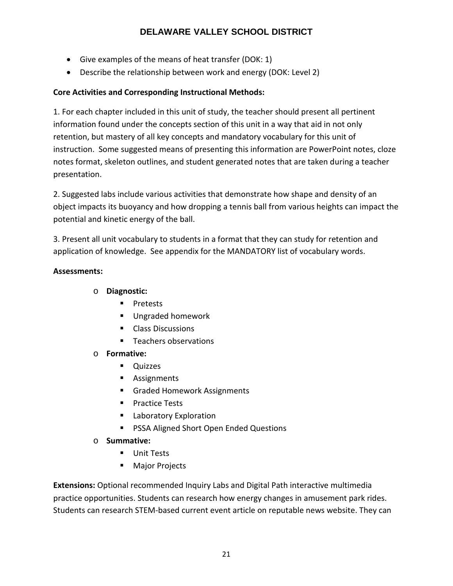- Give examples of the means of heat transfer (DOK: 1)
- Describe the relationship between work and energy (DOK: Level 2)

### **Core Activities and Corresponding Instructional Methods:**

1. For each chapter included in this unit of study, the teacher should present all pertinent information found under the concepts section of this unit in a way that aid in not only retention, but mastery of all key concepts and mandatory vocabulary for this unit of instruction. Some suggested means of presenting this information are PowerPoint notes, cloze notes format, skeleton outlines, and student generated notes that are taken during a teacher presentation.

2. Suggested labs include various activities that demonstrate how shape and density of an object impacts its buoyancy and how dropping a tennis ball from various heights can impact the potential and kinetic energy of the ball.

3. Present all unit vocabulary to students in a format that they can study for retention and application of knowledge. See appendix for the MANDATORY list of vocabulary words.

#### **Assessments:**

### o **Diagnostic:**

- **Pretests**
- Ungraded homework
- **Class Discussions**
- **Teachers observations**
- o **Formative:** 
	- **Quizzes**
	- **Assignments**
	- Graded Homework Assignments
	- **Practice Tests**
	- **Laboratory Exploration**
	- **PSSA Aligned Short Open Ended Questions**
- o **Summative:**
	- **Unit Tests**
	- **Major Projects**

**Extensions:** Optional recommended Inquiry Labs and Digital Path interactive multimedia practice opportunities. Students can research how energy changes in amusement park rides. Students can research STEM-based current event article on reputable news website. They can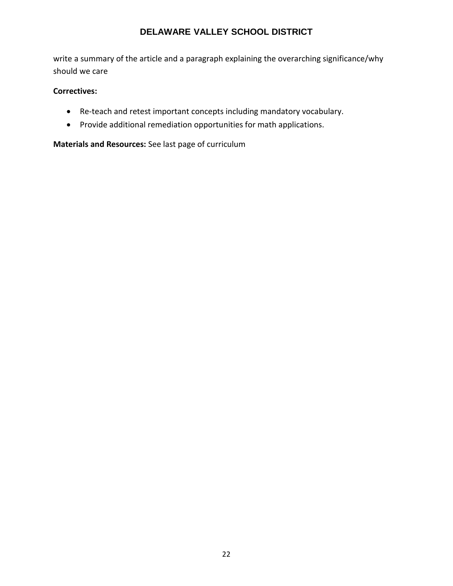write a summary of the article and a paragraph explaining the overarching significance/why should we care

#### **Correctives:**

- Re-teach and retest important concepts including mandatory vocabulary.
- Provide additional remediation opportunities for math applications.

**Materials and Resources:** See last page of curriculum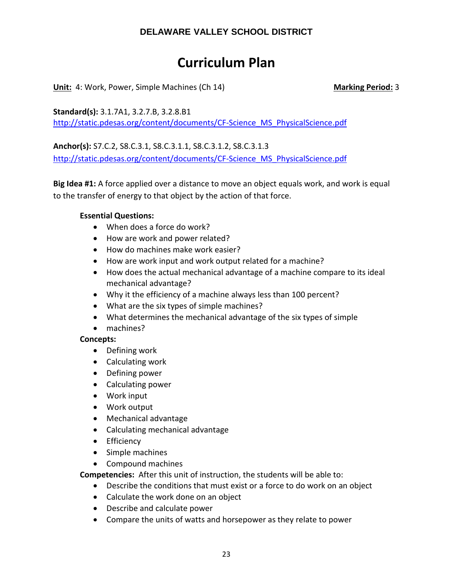## **Curriculum Plan**

**Unit:** 4: Work, Power, Simple Machines (Ch 14) **Marking Period:** 3

**Standard(s):** 3.1.7A1, 3.2.7.B, 3.2.8.B1 [http://static.pdesas.org/content/documents/CF-Science\\_MS\\_PhysicalScience.pdf](http://static.pdesas.org/content/documents/CF-Science_MS_PhysicalScience.pdf)

**Anchor(s):** S7.C.2, S8.C.3.1, S8.C.3.1.1, S8.C.3.1.2, S8.C.3.1.3 [http://static.pdesas.org/content/documents/CF-Science\\_MS\\_PhysicalScience.pdf](http://static.pdesas.org/content/documents/CF-Science_MS_PhysicalScience.pdf)

**Big Idea #1:** A force applied over a distance to move an object equals work, and work is equal to the transfer of energy to that object by the action of that force.

#### **Essential Questions:**

- When does a force do work?
- How are work and power related?
- How do machines make work easier?
- How are work input and work output related for a machine?
- How does the actual mechanical advantage of a machine compare to its ideal mechanical advantage?
- Why it the efficiency of a machine always less than 100 percent?
- What are the six types of simple machines?
- What determines the mechanical advantage of the six types of simple
- machines?

### **Concepts:**

- Defining work
- Calculating work
- Defining power
- Calculating power
- Work input
- Work output
- Mechanical advantage
- Calculating mechanical advantage
- Efficiency
- Simple machines
- Compound machines

**Competencies:** After this unit of instruction, the students will be able to:

- Describe the conditions that must exist or a force to do work on an object
- Calculate the work done on an object
- Describe and calculate power
- Compare the units of watts and horsepower as they relate to power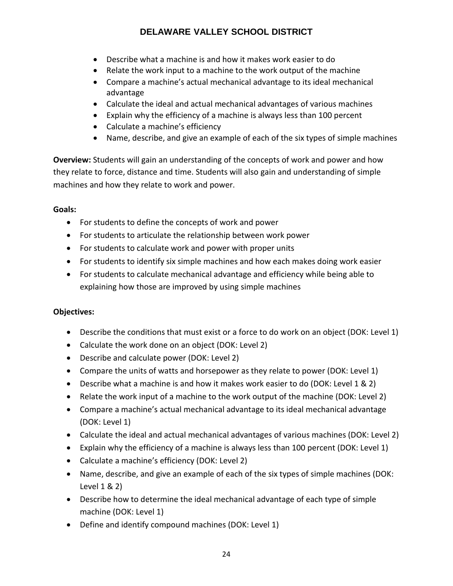- Describe what a machine is and how it makes work easier to do
- Relate the work input to a machine to the work output of the machine
- Compare a machine's actual mechanical advantage to its ideal mechanical advantage
- Calculate the ideal and actual mechanical advantages of various machines
- Explain why the efficiency of a machine is always less than 100 percent
- Calculate a machine's efficiency
- Name, describe, and give an example of each of the six types of simple machines

**Overview:** Students will gain an understanding of the concepts of work and power and how they relate to force, distance and time. Students will also gain and understanding of simple machines and how they relate to work and power.

### **Goals:**

- For students to define the concepts of work and power
- For students to articulate the relationship between work power
- For students to calculate work and power with proper units
- For students to identify six simple machines and how each makes doing work easier
- For students to calculate mechanical advantage and efficiency while being able to explaining how those are improved by using simple machines

### **Objectives:**

- Describe the conditions that must exist or a force to do work on an object (DOK: Level 1)
- Calculate the work done on an object (DOK: Level 2)
- Describe and calculate power (DOK: Level 2)
- Compare the units of watts and horsepower as they relate to power (DOK: Level 1)
- Describe what a machine is and how it makes work easier to do (DOK: Level 1 & 2)
- Relate the work input of a machine to the work output of the machine (DOK: Level 2)
- Compare a machine's actual mechanical advantage to its ideal mechanical advantage (DOK: Level 1)
- Calculate the ideal and actual mechanical advantages of various machines (DOK: Level 2)
- Explain why the efficiency of a machine is always less than 100 percent (DOK: Level 1)
- Calculate a machine's efficiency (DOK: Level 2)
- Name, describe, and give an example of each of the six types of simple machines (DOK: Level 1 & 2)
- Describe how to determine the ideal mechanical advantage of each type of simple machine (DOK: Level 1)
- Define and identify compound machines (DOK: Level 1)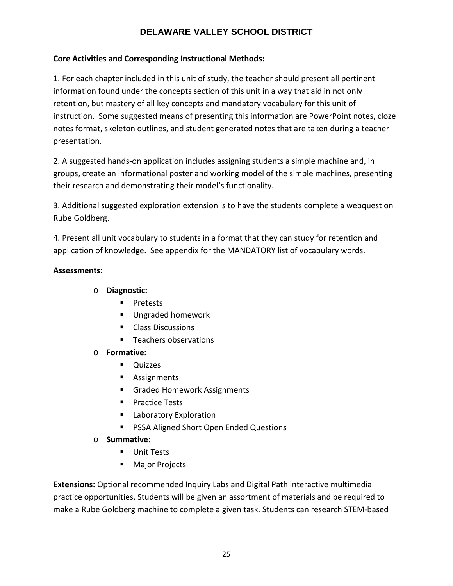### **Core Activities and Corresponding Instructional Methods:**

1. For each chapter included in this unit of study, the teacher should present all pertinent information found under the concepts section of this unit in a way that aid in not only retention, but mastery of all key concepts and mandatory vocabulary for this unit of instruction. Some suggested means of presenting this information are PowerPoint notes, cloze notes format, skeleton outlines, and student generated notes that are taken during a teacher presentation.

2. A suggested hands-on application includes assigning students a simple machine and, in groups, create an informational poster and working model of the simple machines, presenting their research and demonstrating their model's functionality.

3. Additional suggested exploration extension is to have the students complete a webquest on Rube Goldberg.

4. Present all unit vocabulary to students in a format that they can study for retention and application of knowledge. See appendix for the MANDATORY list of vocabulary words.

#### **Assessments:**

- o **Diagnostic:** 
	- **Pretests**
	- **Ungraded homework**
	- **Class Discussions**
	- **Teachers observations**
- o **Formative:** 
	- **Quizzes**
	- **Assignments**
	- **Graded Homework Assignments**
	- **Practice Tests**
	- **Laboratory Exploration**
	- **PSSA Aligned Short Open Ended Questions**
- o **Summative:**
	- **Unit Tests**
	- **Major Projects**

**Extensions:** Optional recommended Inquiry Labs and Digital Path interactive multimedia practice opportunities. Students will be given an assortment of materials and be required to make a Rube Goldberg machine to complete a given task. Students can research STEM-based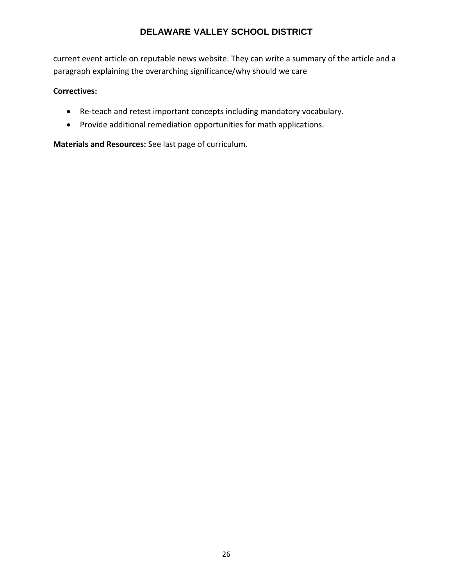current event article on reputable news website. They can write a summary of the article and a paragraph explaining the overarching significance/why should we care

#### **Correctives:**

- Re-teach and retest important concepts including mandatory vocabulary.
- Provide additional remediation opportunities for math applications.

**Materials and Resources:** See last page of curriculum.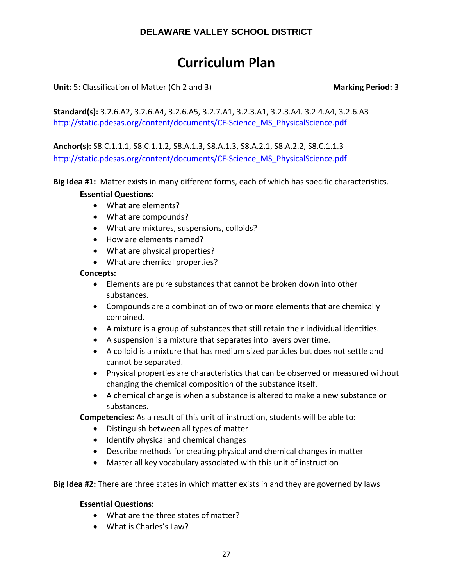## **Curriculum Plan**

**Unit:** 5: Classification of Matter (Ch 2 and 3) **Marking Period:** 3

**Standard(s):** 3.2.6.A2, 3.2.6.A4, 3.2.6.A5, 3.2.7.A1, 3.2.3.A1, 3.2.3.A4. 3.2.4.A4, 3.2.6.A3 [http://static.pdesas.org/content/documents/CF-Science\\_MS\\_PhysicalScience.pdf](http://static.pdesas.org/content/documents/CF-Science_MS_PhysicalScience.pdf)

**Anchor(s):** S8.C.1.1.1, S8.C.1.1.2, S8.A.1.3, S8.A.1.3, S8.A.2.1, S8.A.2.2, S8.C.1.1.3 [http://static.pdesas.org/content/documents/CF-Science\\_MS\\_PhysicalScience.pdf](http://static.pdesas.org/content/documents/CF-Science_MS_PhysicalScience.pdf)

**Big Idea #1:** Matter exists in many different forms, each of which has specific characteristics.

#### **Essential Questions:**

- What are elements?
- What are compounds?
- What are mixtures, suspensions, colloids?
- How are elements named?
- What are physical properties?
- What are chemical properties?

#### **Concepts:**

- Elements are pure substances that cannot be broken down into other substances.
- Compounds are a combination of two or more elements that are chemically combined.
- A mixture is a group of substances that still retain their individual identities.
- A suspension is a mixture that separates into layers over time.
- A colloid is a mixture that has medium sized particles but does not settle and cannot be separated.
- Physical properties are characteristics that can be observed or measured without changing the chemical composition of the substance itself.
- A chemical change is when a substance is altered to make a new substance or substances.

**Competencies:** As a result of this unit of instruction, students will be able to:

- Distinguish between all types of matter
- Identify physical and chemical changes
- Describe methods for creating physical and chemical changes in matter
- Master all key vocabulary associated with this unit of instruction

**Big Idea #2:** There are three states in which matter exists in and they are governed by laws

#### **Essential Questions:**

- What are the three states of matter?
- What is Charles's Law?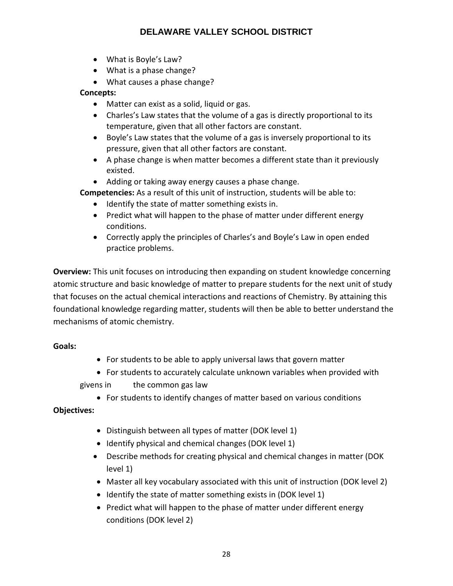- What is Boyle's Law?
- What is a phase change?
- What causes a phase change?

### **Concepts:**

- Matter can exist as a solid, liquid or gas.
- Charles's Law states that the volume of a gas is directly proportional to its temperature, given that all other factors are constant.
- Boyle's Law states that the volume of a gas is inversely proportional to its pressure, given that all other factors are constant.
- A phase change is when matter becomes a different state than it previously existed.
- Adding or taking away energy causes a phase change.

**Competencies:** As a result of this unit of instruction, students will be able to:

- Identify the state of matter something exists in.
- Predict what will happen to the phase of matter under different energy conditions.
- Correctly apply the principles of Charles's and Boyle's Law in open ended practice problems.

**Overview:** This unit focuses on introducing then expanding on student knowledge concerning atomic structure and basic knowledge of matter to prepare students for the next unit of study that focuses on the actual chemical interactions and reactions of Chemistry. By attaining this foundational knowledge regarding matter, students will then be able to better understand the mechanisms of atomic chemistry.

### **Goals:**

- For students to be able to apply universal laws that govern matter
- For students to accurately calculate unknown variables when provided with givens in the common gas law
	- For students to identify changes of matter based on various conditions

### **Objectives:**

- Distinguish between all types of matter (DOK level 1)
- Identify physical and chemical changes (DOK level 1)
- Describe methods for creating physical and chemical changes in matter (DOK level 1)
- Master all key vocabulary associated with this unit of instruction (DOK level 2)
- Identify the state of matter something exists in (DOK level 1)
- Predict what will happen to the phase of matter under different energy conditions (DOK level 2)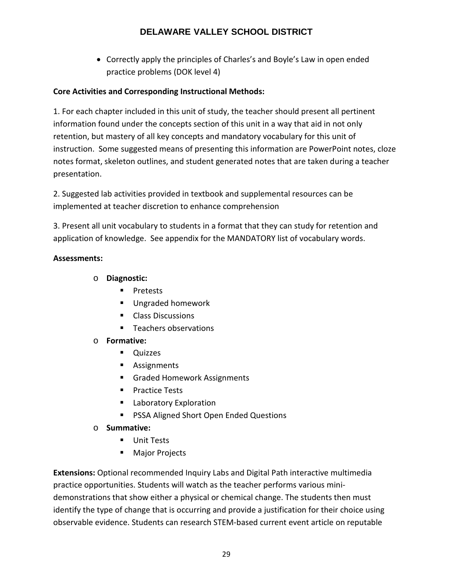• Correctly apply the principles of Charles's and Boyle's Law in open ended practice problems (DOK level 4)

### **Core Activities and Corresponding Instructional Methods:**

1. For each chapter included in this unit of study, the teacher should present all pertinent information found under the concepts section of this unit in a way that aid in not only retention, but mastery of all key concepts and mandatory vocabulary for this unit of instruction. Some suggested means of presenting this information are PowerPoint notes, cloze notes format, skeleton outlines, and student generated notes that are taken during a teacher presentation.

2. Suggested lab activities provided in textbook and supplemental resources can be implemented at teacher discretion to enhance comprehension

3. Present all unit vocabulary to students in a format that they can study for retention and application of knowledge. See appendix for the MANDATORY list of vocabulary words.

### **Assessments:**

- o **Diagnostic:** 
	- **Pretests**
	- **Ungraded homework**
	- **Class Discussions**
	- Teachers observations

### o **Formative:**

- **Quizzes**
- **Assignments**
- **Graded Homework Assignments**
- **Practice Tests**
- **Laboratory Exploration**
- **PSSA Aligned Short Open Ended Questions**
- o **Summative:**
	- **Unit Tests**
	- **Major Projects**

**Extensions:** Optional recommended Inquiry Labs and Digital Path interactive multimedia practice opportunities. Students will watch as the teacher performs various minidemonstrations that show either a physical or chemical change. The students then must identify the type of change that is occurring and provide a justification for their choice using observable evidence. Students can research STEM-based current event article on reputable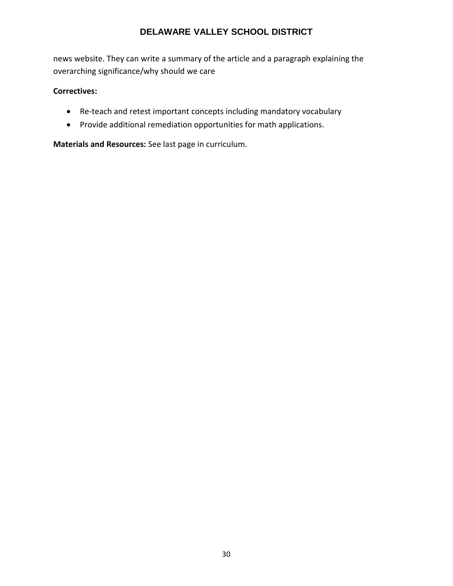news website. They can write a summary of the article and a paragraph explaining the overarching significance/why should we care

### **Correctives:**

- Re-teach and retest important concepts including mandatory vocabulary
- Provide additional remediation opportunities for math applications.

**Materials and Resources:** See last page in curriculum.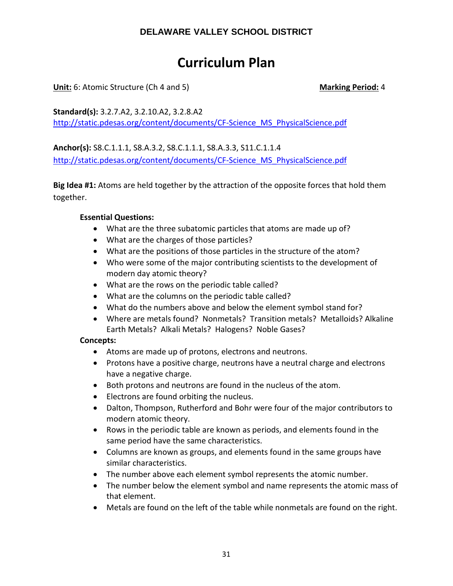## **Curriculum Plan**

**Unit:** 6: Atomic Structure (Ch 4 and 5) Marking Period: 4

**Standard(s):** 3.2.7.A2, 3.2.10.A2, 3.2.8.A2 [http://static.pdesas.org/content/documents/CF-Science\\_MS\\_PhysicalScience.pdf](http://static.pdesas.org/content/documents/CF-Science_MS_PhysicalScience.pdf)

**Anchor(s):** S8.C.1.1.1, S8.A.3.2, S8.C.1.1.1, S8.A.3.3, S11.C.1.1.4 [http://static.pdesas.org/content/documents/CF-Science\\_MS\\_PhysicalScience.pdf](http://static.pdesas.org/content/documents/CF-Science_MS_PhysicalScience.pdf)

**Big Idea #1:** Atoms are held together by the attraction of the opposite forces that hold them together.

### **Essential Questions:**

- What are the three subatomic particles that atoms are made up of?
- What are the charges of those particles?
- What are the positions of those particles in the structure of the atom?
- Who were some of the major contributing scientists to the development of modern day atomic theory?
- What are the rows on the periodic table called?
- What are the columns on the periodic table called?
- What do the numbers above and below the element symbol stand for?
- Where are metals found? Nonmetals? Transition metals? Metalloids? Alkaline Earth Metals? Alkali Metals? Halogens? Noble Gases?

### **Concepts:**

- Atoms are made up of protons, electrons and neutrons.
- Protons have a positive charge, neutrons have a neutral charge and electrons have a negative charge.
- Both protons and neutrons are found in the nucleus of the atom.
- Electrons are found orbiting the nucleus.
- Dalton, Thompson, Rutherford and Bohr were four of the major contributors to modern atomic theory.
- Rows in the periodic table are known as periods, and elements found in the same period have the same characteristics.
- Columns are known as groups, and elements found in the same groups have similar characteristics.
- The number above each element symbol represents the atomic number.
- The number below the element symbol and name represents the atomic mass of that element.
- Metals are found on the left of the table while nonmetals are found on the right.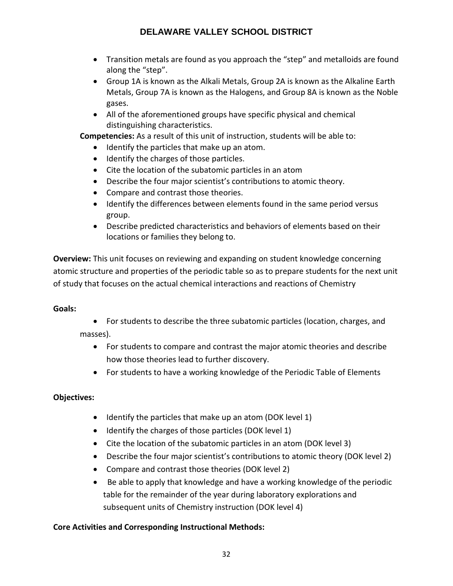- Transition metals are found as you approach the "step" and metalloids are found along the "step".
- Group 1A is known as the Alkali Metals, Group 2A is known as the Alkaline Earth Metals, Group 7A is known as the Halogens, and Group 8A is known as the Noble gases.
- All of the aforementioned groups have specific physical and chemical distinguishing characteristics.

**Competencies:** As a result of this unit of instruction, students will be able to:

- Identify the particles that make up an atom.
- Identify the charges of those particles.
- Cite the location of the subatomic particles in an atom
- Describe the four major scientist's contributions to atomic theory.
- Compare and contrast those theories.
- Identify the differences between elements found in the same period versus group.
- Describe predicted characteristics and behaviors of elements based on their locations or families they belong to.

**Overview:** This unit focuses on reviewing and expanding on student knowledge concerning atomic structure and properties of the periodic table so as to prepare students for the next unit of study that focuses on the actual chemical interactions and reactions of Chemistry

#### **Goals:**

- For students to describe the three subatomic particles (location, charges, and masses).
	- For students to compare and contrast the major atomic theories and describe how those theories lead to further discovery.
	- For students to have a working knowledge of the Periodic Table of Elements

### **Objectives:**

- Identify the particles that make up an atom (DOK level 1)
- Identify the charges of those particles (DOK level 1)
- Cite the location of the subatomic particles in an atom (DOK level 3)
- Describe the four major scientist's contributions to atomic theory (DOK level 2)
- Compare and contrast those theories (DOK level 2)
- Be able to apply that knowledge and have a working knowledge of the periodic table for the remainder of the year during laboratory explorations and subsequent units of Chemistry instruction (DOK level 4)

### **Core Activities and Corresponding Instructional Methods:**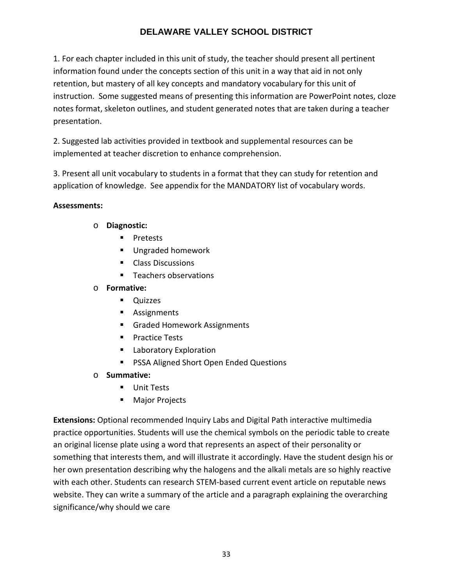1. For each chapter included in this unit of study, the teacher should present all pertinent information found under the concepts section of this unit in a way that aid in not only retention, but mastery of all key concepts and mandatory vocabulary for this unit of instruction. Some suggested means of presenting this information are PowerPoint notes, cloze notes format, skeleton outlines, and student generated notes that are taken during a teacher presentation.

2. Suggested lab activities provided in textbook and supplemental resources can be implemented at teacher discretion to enhance comprehension.

3. Present all unit vocabulary to students in a format that they can study for retention and application of knowledge. See appendix for the MANDATORY list of vocabulary words.

#### **Assessments:**

- o **Diagnostic:** 
	- **Pretests**
	- **Ungraded homework**
	- **Class Discussions**
	- **Teachers observations**

#### o **Formative:**

- **Quizzes**
- **Assignments**
- Graded Homework Assignments
- **Practice Tests**
- **Laboratory Exploration**
- PSSA Aligned Short Open Ended Questions
- o **Summative:**
	- **Unit Tests**
	- **Major Projects**

**Extensions:** Optional recommended Inquiry Labs and Digital Path interactive multimedia practice opportunities. Students will use the chemical symbols on the periodic table to create an original license plate using a word that represents an aspect of their personality or something that interests them, and will illustrate it accordingly. Have the student design his or her own presentation describing why the halogens and the alkali metals are so highly reactive with each other. Students can research STEM-based current event article on reputable news website. They can write a summary of the article and a paragraph explaining the overarching significance/why should we care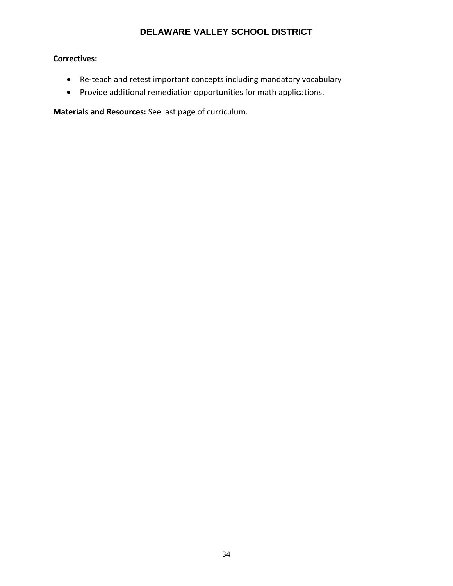### **Correctives:**

- Re-teach and retest important concepts including mandatory vocabulary
- Provide additional remediation opportunities for math applications.

**Materials and Resources:** See last page of curriculum.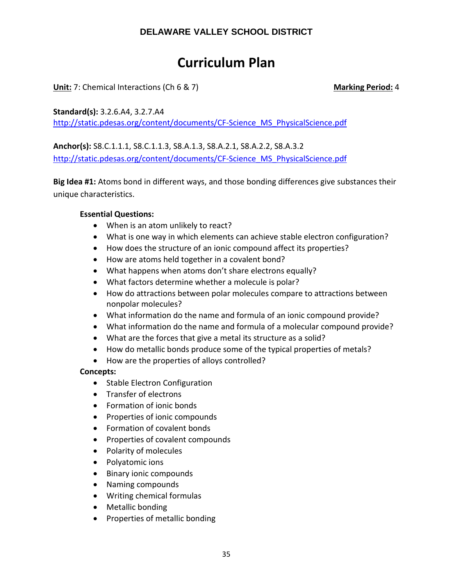## **Curriculum Plan**

**Unit:** 7: Chemical Interactions (Ch 6 & 7) **Marking Period:** 4

**Standard(s):** 3.2.6.A4, 3.2.7.A4

[http://static.pdesas.org/content/documents/CF-Science\\_MS\\_PhysicalScience.pdf](http://static.pdesas.org/content/documents/CF-Science_MS_PhysicalScience.pdf)

**Anchor(s):** S8.C.1.1.1, S8.C.1.1.3, S8.A.1.3, S8.A.2.1, S8.A.2.2, S8.A.3.2 [http://static.pdesas.org/content/documents/CF-Science\\_MS\\_PhysicalScience.pdf](http://static.pdesas.org/content/documents/CF-Science_MS_PhysicalScience.pdf)

**Big Idea #1:** Atoms bond in different ways, and those bonding differences give substances their unique characteristics.

### **Essential Questions:**

- When is an atom unlikely to react?
- What is one way in which elements can achieve stable electron configuration?
- How does the structure of an ionic compound affect its properties?
- How are atoms held together in a covalent bond?
- What happens when atoms don't share electrons equally?
- What factors determine whether a molecule is polar?
- How do attractions between polar molecules compare to attractions between nonpolar molecules?
- What information do the name and formula of an ionic compound provide?
- What information do the name and formula of a molecular compound provide?
- What are the forces that give a metal its structure as a solid?
- How do metallic bonds produce some of the typical properties of metals?
- How are the properties of alloys controlled?

### **Concepts:**

- Stable Electron Configuration
- Transfer of electrons
- Formation of ionic bonds
- Properties of ionic compounds
- Formation of covalent bonds
- Properties of covalent compounds
- Polarity of molecules
- Polyatomic ions
- Binary ionic compounds
- Naming compounds
- Writing chemical formulas
- Metallic bonding
- Properties of metallic bonding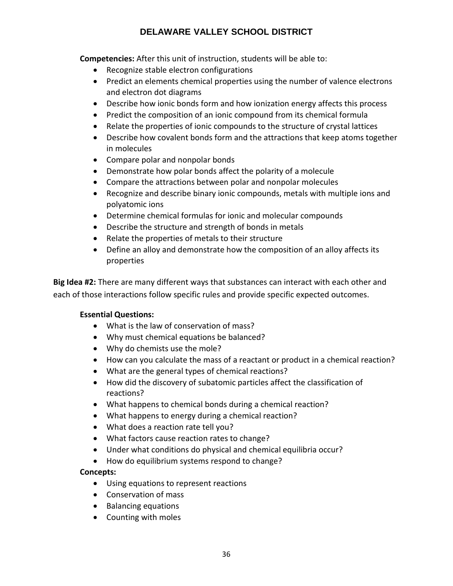**Competencies:** After this unit of instruction, students will be able to:

- Recognize stable electron configurations
- Predict an elements chemical properties using the number of valence electrons and electron dot diagrams
- Describe how ionic bonds form and how ionization energy affects this process
- Predict the composition of an ionic compound from its chemical formula
- Relate the properties of ionic compounds to the structure of crystal lattices
- Describe how covalent bonds form and the attractions that keep atoms together in molecules
- Compare polar and nonpolar bonds
- Demonstrate how polar bonds affect the polarity of a molecule
- Compare the attractions between polar and nonpolar molecules
- Recognize and describe binary ionic compounds, metals with multiple ions and polyatomic ions
- Determine chemical formulas for ionic and molecular compounds
- Describe the structure and strength of bonds in metals
- Relate the properties of metals to their structure
- Define an alloy and demonstrate how the composition of an alloy affects its properties

**Big Idea #2:** There are many different ways that substances can interact with each other and each of those interactions follow specific rules and provide specific expected outcomes.

### **Essential Questions:**

- What is the law of conservation of mass?
- Why must chemical equations be balanced?
- Why do chemists use the mole?
- How can you calculate the mass of a reactant or product in a chemical reaction?
- What are the general types of chemical reactions?
- How did the discovery of subatomic particles affect the classification of reactions?
- What happens to chemical bonds during a chemical reaction?
- What happens to energy during a chemical reaction?
- What does a reaction rate tell you?
- What factors cause reaction rates to change?
- Under what conditions do physical and chemical equilibria occur?
- How do equilibrium systems respond to change?

### **Concepts:**

- Using equations to represent reactions
- Conservation of mass
- Balancing equations
- Counting with moles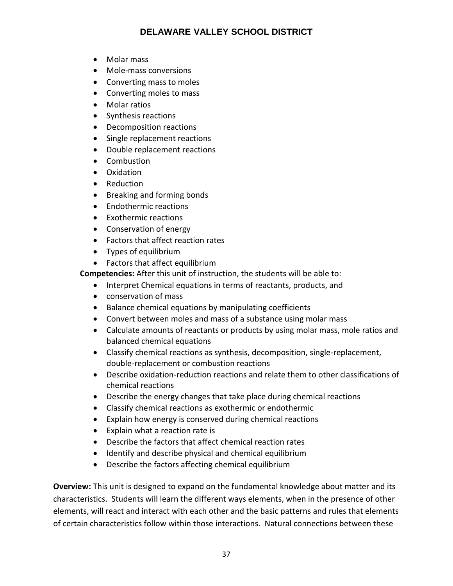- Molar mass
- Mole-mass conversions
- Converting mass to moles
- Converting moles to mass
- Molar ratios
- Synthesis reactions
- Decomposition reactions
- Single replacement reactions
- Double replacement reactions
- Combustion
- Oxidation
- Reduction
- Breaking and forming bonds
- Endothermic reactions
- Exothermic reactions
- Conservation of energy
- Factors that affect reaction rates
- Types of equilibrium
- Factors that affect equilibrium

**Competencies:** After this unit of instruction, the students will be able to:

- Interpret Chemical equations in terms of reactants, products, and
- conservation of mass
- Balance chemical equations by manipulating coefficients
- Convert between moles and mass of a substance using molar mass
- Calculate amounts of reactants or products by using molar mass, mole ratios and balanced chemical equations
- Classify chemical reactions as synthesis, decomposition, single-replacement, double-replacement or combustion reactions
- Describe oxidation-reduction reactions and relate them to other classifications of chemical reactions
- Describe the energy changes that take place during chemical reactions
- Classify chemical reactions as exothermic or endothermic
- Explain how energy is conserved during chemical reactions
- Explain what a reaction rate is
- Describe the factors that affect chemical reaction rates
- Identify and describe physical and chemical equilibrium
- Describe the factors affecting chemical equilibrium

**Overview:** This unit is designed to expand on the fundamental knowledge about matter and its characteristics. Students will learn the different ways elements, when in the presence of other elements, will react and interact with each other and the basic patterns and rules that elements of certain characteristics follow within those interactions. Natural connections between these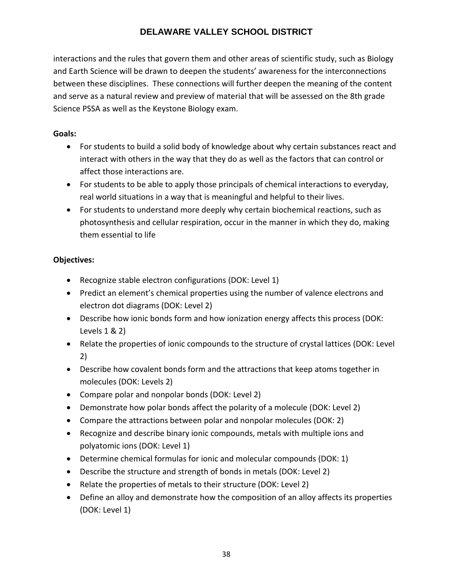interactions and the rules that govern them and other areas of scientific study, such as Biology and Earth Science will be drawn to deepen the students' awareness for the interconnections between these disciplines. These connections will further deepen the meaning of the content and serve as a natural review and preview of material that will be assessed on the 8th grade Science PSSA as well as the Keystone Biology exam.

#### **Goals:**

- For students to build a solid body of knowledge about why certain substances react and interact with others in the way that they do as well as the factors that can control or affect those interactions are.
- For students to be able to apply those principals of chemical interactions to everyday, real world situations in a way that is meaningful and helpful to their lives.
- For students to understand more deeply why certain biochemical reactions, such as photosynthesis and cellular respiration, occur in the manner in which they do, making them essential to life

#### **Objectives:**

- Recognize stable electron configurations (DOK: Level 1)
- Predict an element's chemical properties using the number of valence electrons and electron dot diagrams (DOK: Level 2)
- Describe how ionic bonds form and how ionization energy affects this process (DOK: Levels 1 & 2)
- Relate the properties of ionic compounds to the structure of crystal lattices (DOK: Level 2)
- Describe how covalent bonds form and the attractions that keep atoms together in molecules (DOK: Levels 2)
- Compare polar and nonpolar bonds (DOK: Level 2)
- Demonstrate how polar bonds affect the polarity of a molecule (DOK: Level 2)
- Compare the attractions between polar and nonpolar molecules (DOK: 2)
- Recognize and describe binary ionic compounds, metals with multiple ions and polyatomic ions (DOK: Level 1)
- Determine chemical formulas for ionic and molecular compounds (DOK: 1)
- Describe the structure and strength of bonds in metals (DOK: Level 2)
- Relate the properties of metals to their structure (DOK: Level 2)
- Define an alloy and demonstrate how the composition of an alloy affects its properties (DOK: Level 1)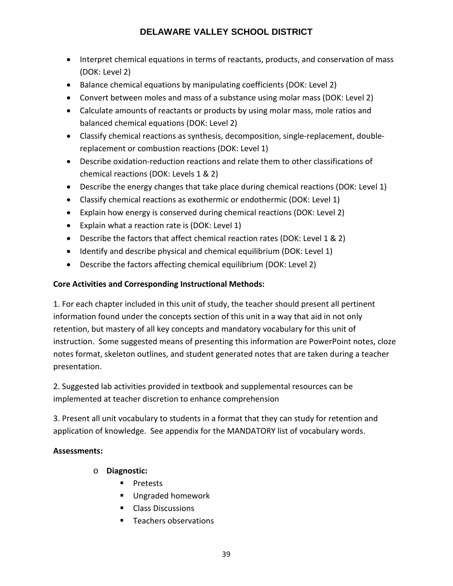- Interpret chemical equations in terms of reactants, products, and conservation of mass (DOK: Level 2)
- Balance chemical equations by manipulating coefficients (DOK: Level 2)
- Convert between moles and mass of a substance using molar mass (DOK: Level 2)
- Calculate amounts of reactants or products by using molar mass, mole ratios and balanced chemical equations (DOK: Level 2)
- Classify chemical reactions as synthesis, decomposition, single-replacement, doublereplacement or combustion reactions (DOK: Level 1)
- Describe oxidation-reduction reactions and relate them to other classifications of chemical reactions (DOK: Levels 1 & 2)
- Describe the energy changes that take place during chemical reactions (DOK: Level 1)
- Classify chemical reactions as exothermic or endothermic (DOK: Level 1)
- Explain how energy is conserved during chemical reactions (DOK: Level 2)
- Explain what a reaction rate is (DOK: Level 1)
- Describe the factors that affect chemical reaction rates (DOK: Level 1 & 2)
- Identify and describe physical and chemical equilibrium (DOK: Level 1)
- Describe the factors affecting chemical equilibrium (DOK: Level 2)

#### **Core Activities and Corresponding Instructional Methods:**

1. For each chapter included in this unit of study, the teacher should present all pertinent information found under the concepts section of this unit in a way that aid in not only retention, but mastery of all key concepts and mandatory vocabulary for this unit of instruction. Some suggested means of presenting this information are PowerPoint notes, cloze notes format, skeleton outlines, and student generated notes that are taken during a teacher presentation.

2. Suggested lab activities provided in textbook and supplemental resources can be implemented at teacher discretion to enhance comprehension

3. Present all unit vocabulary to students in a format that they can study for retention and application of knowledge. See appendix for the MANDATORY list of vocabulary words.

#### **Assessments:**

- o **Diagnostic:** 
	- **Pretests**
	- **Ungraded homework**
	- **Class Discussions**
	- **Teachers observations**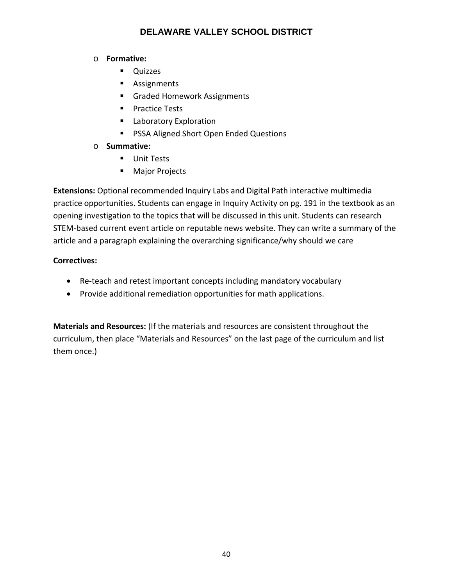#### o **Formative:**

- **Quizzes**
- **Assignments**
- **Graded Homework Assignments**
- **Practice Tests**
- **Laboratory Exploration**
- **PSSA Aligned Short Open Ended Questions**

#### o **Summative:**

- **Unit Tests**
- **Major Projects**

**Extensions:** Optional recommended Inquiry Labs and Digital Path interactive multimedia practice opportunities. Students can engage in Inquiry Activity on pg. 191 in the textbook as an opening investigation to the topics that will be discussed in this unit. Students can research STEM-based current event article on reputable news website. They can write a summary of the article and a paragraph explaining the overarching significance/why should we care

### **Correctives:**

- Re-teach and retest important concepts including mandatory vocabulary
- Provide additional remediation opportunities for math applications.

**Materials and Resources:** (If the materials and resources are consistent throughout the curriculum, then place "Materials and Resources" on the last page of the curriculum and list them once.)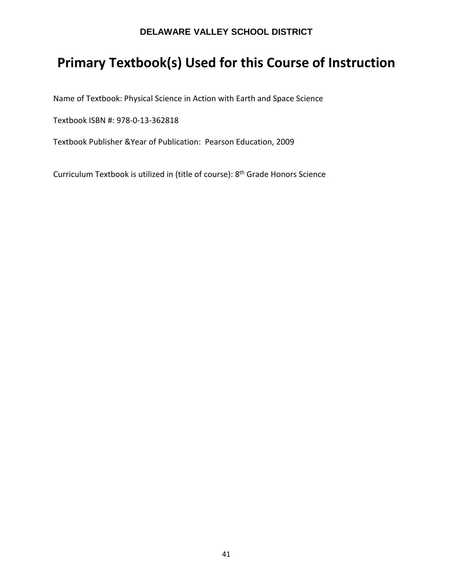## **Primary Textbook(s) Used for this Course of Instruction**

Name of Textbook: Physical Science in Action with Earth and Space Science

Textbook ISBN #: 978-0-13-362818

Textbook Publisher &Year of Publication: Pearson Education, 2009

Curriculum Textbook is utilized in (title of course): 8th Grade Honors Science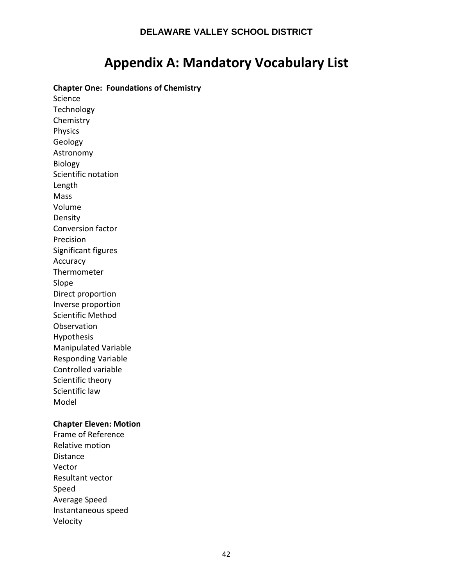## **Appendix A: Mandatory Vocabulary List**

**Chapter One: Foundations of Chemistry** 

Science **Technology** Chemistry Physics Geology Astronomy Biology Scientific notation Length Mass Volume Density Conversion factor Precision Significant figures Accuracy Thermometer Slope Direct proportion Inverse proportion Scientific Method Observation Hypothesis Manipulated Variable Responding Variable Controlled variable Scientific theory Scientific law Model

#### **Chapter Eleven: Motion**

Frame of Reference Relative motion Distance Vector Resultant vector Speed Average Speed Instantaneous speed Velocity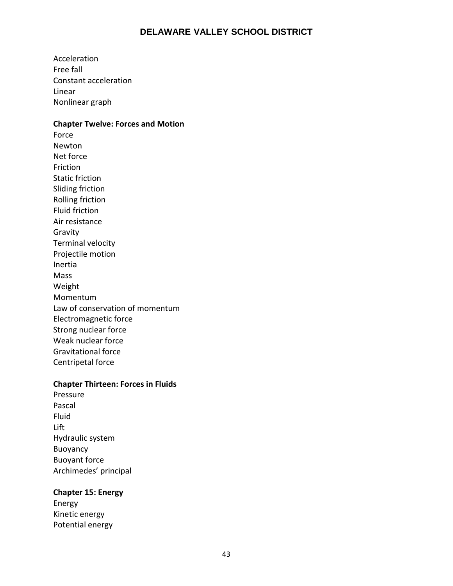Acceleration Free fall Constant acceleration Linear Nonlinear graph

#### **Chapter Twelve: Forces and Motion**

Force Newton Net force Friction Static friction Sliding friction Rolling friction Fluid friction Air resistance Gravity Terminal velocity Projectile motion Inertia Mass Weight Momentum Law of conservation of momentum Electromagnetic force Strong nuclear force Weak nuclear force Gravitational force Centripetal force

#### **Chapter Thirteen: Forces in Fluids**

Pressure Pascal Fluid Lift Hydraulic system Buoyancy Buoyant force Archimedes' principal

#### **Chapter 15: Energy**

Energy Kinetic energy Potential energy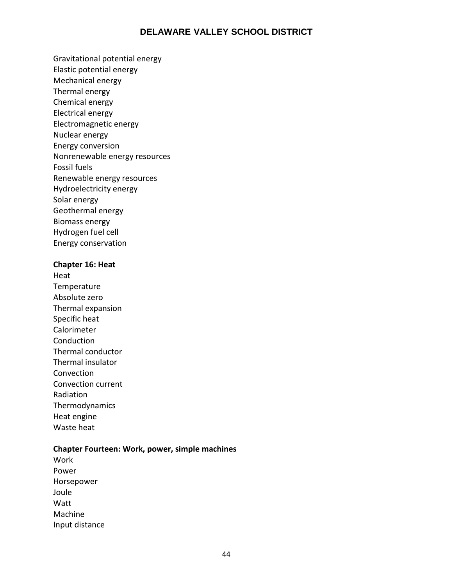- Gravitational potential energy
- Elastic potential energy
- Mechanical energy
- Thermal energy
- Chemical energy
- Electrical energy
- Electromagnetic energy
- Nuclear energy
- Energy conversion
- Nonrenewable energy resources
- Fossil fuels
- Renewable energy resources
- Hydroelectricity energy
- Solar energy
- Geothermal energy
- Biomass energy
- Hydrogen fuel cell
- Energy conservation

#### **Chapter 16: Heat**

Heat **Temperature** Absolute zero Thermal expansion Specific heat Calorimeter Conduction Thermal conductor Thermal insulator Convection Convection current Radiation Thermodynamics Heat engine Waste heat

#### **Chapter Fourteen: Work, power, simple machines**

Work Power Horsepower Joule Watt Machine Input distance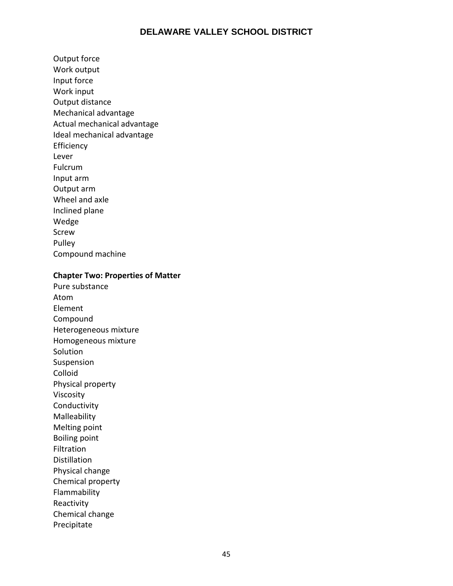Output force Work output Input force Work input Output distance Mechanical advantage Actual mechanical advantage Ideal mechanical advantage Efficiency Lever Fulcrum Input arm Output arm Wheel and axle Inclined plane Wedge Screw Pulley Compound machine

#### **Chapter Two: Properties of Matter**

Pure substance Atom Element Compound Heterogeneous mixture Homogeneous mixture Solution Suspension Colloid Physical property Viscosity Conductivity Malleability Melting point Boiling point Filtration Distillation Physical change Chemical property Flammability Reactivity Chemical change Precipitate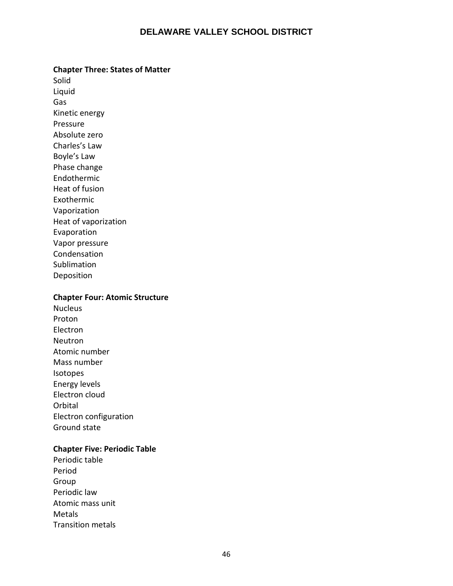#### **Chapter Three: States of Matter**

Solid Liquid Gas Kinetic energy Pressure Absolute zero Charles's Law Boyle's Law Phase change Endothermic Heat of fusion Exothermic Vaporization Heat of vaporization Evaporation Vapor pressure Condensation Sublimation Deposition

#### **Chapter Four: Atomic Structure**

Nucleus Proton Electron Neutron Atomic number Mass number Isotopes Energy levels Electron cloud Orbital Electron configuration Ground state

#### **Chapter Five: Periodic Table**

Periodic table Period Group Periodic law Atomic mass unit Metals Transition metals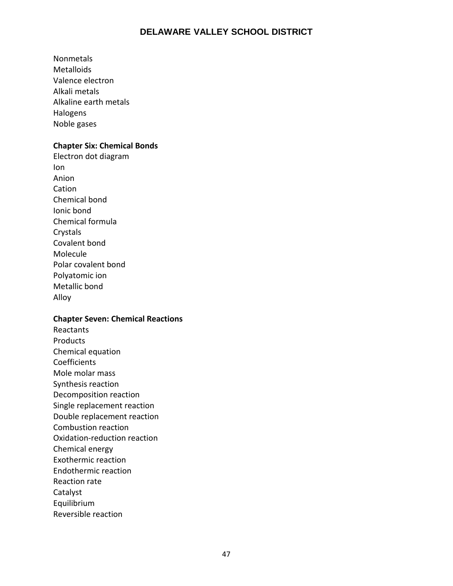Nonmetals Metalloids Valence electron Alkali metals Alkaline earth metals Halogens Noble gases

#### **Chapter Six: Chemical Bonds**

Electron dot diagram Ion Anion Cation Chemical bond Ionic bond Chemical formula Crystals Covalent bond Molecule Polar covalent bond Polyatomic ion Metallic bond Alloy

#### **Chapter Seven: Chemical Reactions**

Reactants Products Chemical equation **Coefficients** Mole molar mass Synthesis reaction Decomposition reaction Single replacement reaction Double replacement reaction Combustion reaction Oxidation-reduction reaction Chemical energy Exothermic reaction Endothermic reaction Reaction rate Catalyst Equilibrium Reversible reaction